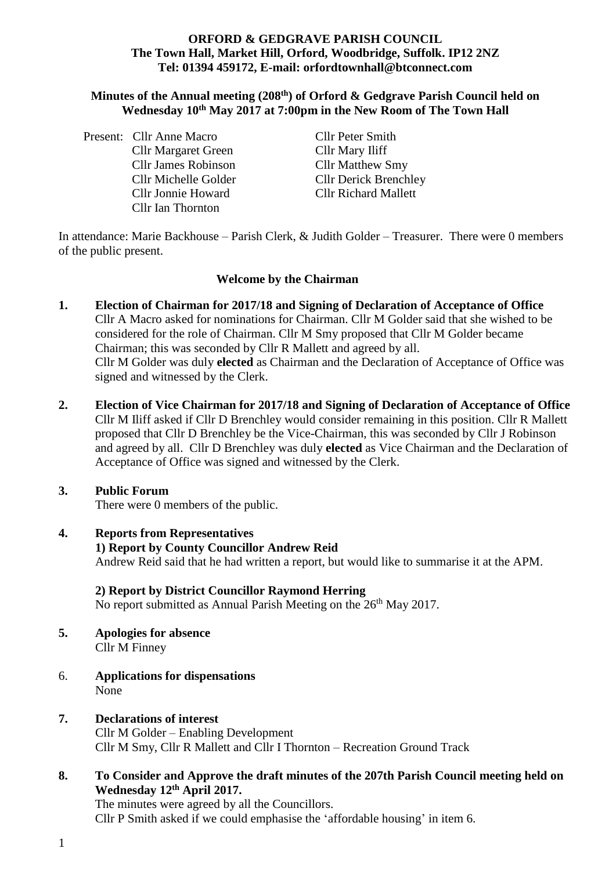#### **ORFORD & GEDGRAVE PARISH COUNCIL The Town Hall, Market Hill, Orford, Woodbridge, Suffolk. IP12 2NZ Tel: 01394 459172, E-mail: orfordtownhall@btconnect.com**

#### **Minutes of the Annual meeting (208 th) of Orford & Gedgrave Parish Council held on Wednesday 10th May 2017 at 7:00pm in the New Room of The Town Hall**

| Present: Cllr Anne Macro   |
|----------------------------|
| <b>Cllr Margaret Green</b> |
| Cllr James Robinson        |
| Cllr Michelle Golder       |
| <b>Cllr Jonnie Howard</b>  |
| Cllr Ian Thornton          |

Cllr Peter Smith Cllr Mary Iliff Cllr Matthew Smy Cllr Derick Brenchley **Cllr Richard Mallett** 

In attendance: Marie Backhouse – Parish Clerk, & Judith Golder – Treasurer. There were 0 members of the public present.

#### **Welcome by the Chairman**

- **1. Election of Chairman for 2017/18 and Signing of Declaration of Acceptance of Office**  Cllr A Macro asked for nominations for Chairman. Cllr M Golder said that she wished to be considered for the role of Chairman. Cllr M Smy proposed that Cllr M Golder became Chairman; this was seconded by Cllr R Mallett and agreed by all. Cllr M Golder was duly **elected** as Chairman and the Declaration of Acceptance of Office was signed and witnessed by the Clerk.
- **2. Election of Vice Chairman for 2017/18 and Signing of Declaration of Acceptance of Office** Cllr M Iliff asked if Cllr D Brenchley would consider remaining in this position. Cllr R Mallett proposed that Cllr D Brenchley be the Vice-Chairman, this was seconded by Cllr J Robinson and agreed by all.Cllr D Brenchley was duly **elected** as Vice Chairman and the Declaration of Acceptance of Office was signed and witnessed by the Clerk.

### **3. Public Forum**

There were 0 members of the public.

**4. Reports from Representatives 1) Report by County Councillor Andrew Reid** Andrew Reid said that he had written a report, but would like to summarise it at the APM.

#### **2) Report by District Councillor Raymond Herring**

No report submitted as Annual Parish Meeting on the 26<sup>th</sup> May 2017.

- **5. Apologies for absence** Cllr M Finney
- 6. **Applications for dispensations** None
- **7. Declarations of interest** Cllr M Golder – Enabling Development Cllr M Smy, Cllr R Mallett and Cllr I Thornton – Recreation Ground Track
- **8. To Consider and Approve the draft minutes of the 207th Parish Council meeting held on Wednesday 12 th April 2017.**

The minutes were agreed by all the Councillors. Cllr P Smith asked if we could emphasise the 'affordable housing' in item 6.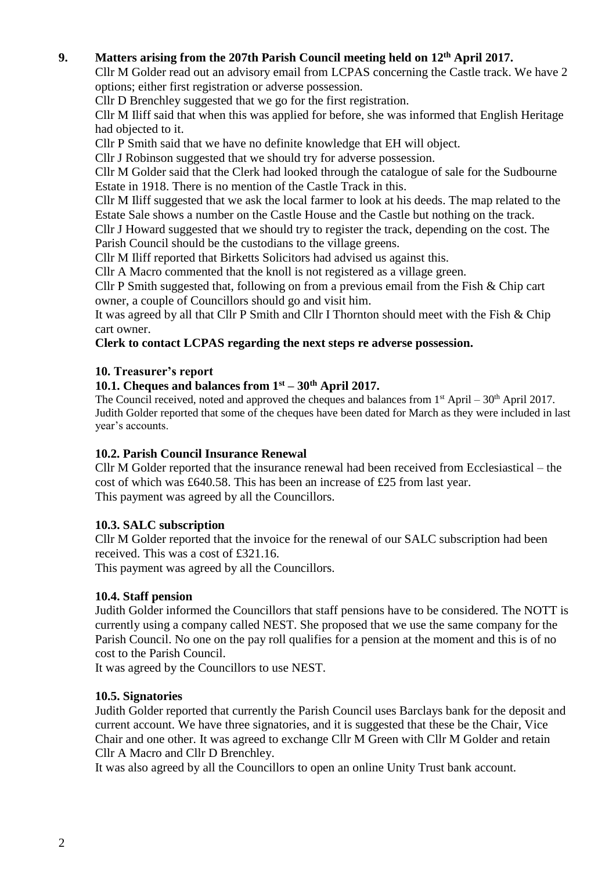# **9. Matters arising from the 207th Parish Council meeting held on 12th April 2017.**

Cllr M Golder read out an advisory email from LCPAS concerning the Castle track. We have 2 options; either first registration or adverse possession.

Cllr D Brenchley suggested that we go for the first registration.

Cllr M Iliff said that when this was applied for before, she was informed that English Heritage had objected to it.

Cllr P Smith said that we have no definite knowledge that EH will object.

Cllr J Robinson suggested that we should try for adverse possession.

Cllr M Golder said that the Clerk had looked through the catalogue of sale for the Sudbourne Estate in 1918. There is no mention of the Castle Track in this.

Cllr M Iliff suggested that we ask the local farmer to look at his deeds. The map related to the Estate Sale shows a number on the Castle House and the Castle but nothing on the track.

Cllr J Howard suggested that we should try to register the track, depending on the cost. The Parish Council should be the custodians to the village greens.

Cllr M Iliff reported that Birketts Solicitors had advised us against this.

Cllr A Macro commented that the knoll is not registered as a village green.

Cllr P Smith suggested that, following on from a previous email from the Fish & Chip cart owner, a couple of Councillors should go and visit him.

It was agreed by all that Cllr P Smith and Cllr I Thornton should meet with the Fish & Chip cart owner.

**Clerk to contact LCPAS regarding the next steps re adverse possession.**

#### **10. Treasurer's report**

# **10.1. Cheques and balances from 1st – 30th April 2017.**

The Council received, noted and approved the cheques and balances from  $1<sup>st</sup>$  April – 30<sup>th</sup> April 2017. Judith Golder reported that some of the cheques have been dated for March as they were included in last year's accounts.

#### **10.2. Parish Council Insurance Renewal**

Cllr M Golder reported that the insurance renewal had been received from Ecclesiastical – the cost of which was £640.58. This has been an increase of £25 from last year. This payment was agreed by all the Councillors.

#### **10.3. SALC subscription**

Cllr M Golder reported that the invoice for the renewal of our SALC subscription had been received. This was a cost of £321.16.

This payment was agreed by all the Councillors.

### **10.4. Staff pension**

Judith Golder informed the Councillors that staff pensions have to be considered. The NOTT is currently using a company called NEST. She proposed that we use the same company for the Parish Council. No one on the pay roll qualifies for a pension at the moment and this is of no cost to the Parish Council.

It was agreed by the Councillors to use NEST.

#### **10.5. Signatories**

Judith Golder reported that currently the Parish Council uses Barclays bank for the deposit and current account. We have three signatories, and it is suggested that these be the Chair, Vice Chair and one other. It was agreed to exchange Cllr M Green with Cllr M Golder and retain Cllr A Macro and Cllr D Brenchley.

It was also agreed by all the Councillors to open an online Unity Trust bank account.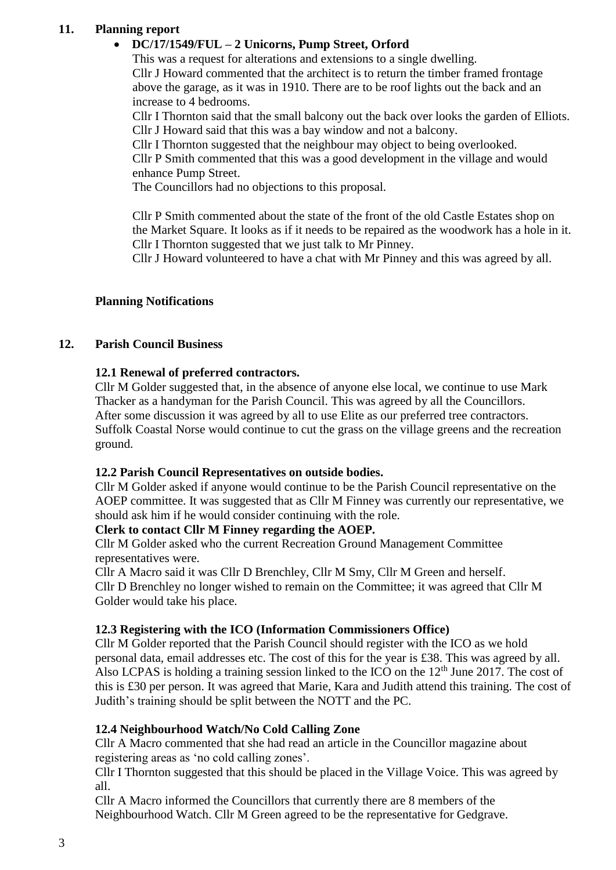# **11. Planning report**

# • **DC/17/1549/FUL – 2 Unicorns, Pump Street, Orford**

This was a request for alterations and extensions to a single dwelling. Cllr J Howard commented that the architect is to return the timber framed frontage above the garage, as it was in 1910. There are to be roof lights out the back and an increase to 4 bedrooms.

Cllr I Thornton said that the small balcony out the back over looks the garden of Elliots. Cllr J Howard said that this was a bay window and not a balcony.

Cllr I Thornton suggested that the neighbour may object to being overlooked.

Cllr P Smith commented that this was a good development in the village and would enhance Pump Street.

The Councillors had no objections to this proposal.

Cllr P Smith commented about the state of the front of the old Castle Estates shop on the Market Square. It looks as if it needs to be repaired as the woodwork has a hole in it. Cllr I Thornton suggested that we just talk to Mr Pinney.

Cllr J Howard volunteered to have a chat with Mr Pinney and this was agreed by all.

## **Planning Notifications**

### **12. Parish Council Business**

## **12.1 Renewal of preferred contractors.**

Cllr M Golder suggested that, in the absence of anyone else local, we continue to use Mark Thacker as a handyman for the Parish Council. This was agreed by all the Councillors. After some discussion it was agreed by all to use Elite as our preferred tree contractors. Suffolk Coastal Norse would continue to cut the grass on the village greens and the recreation ground.

### **12.2 Parish Council Representatives on outside bodies.**

Cllr M Golder asked if anyone would continue to be the Parish Council representative on the AOEP committee. It was suggested that as Cllr M Finney was currently our representative, we should ask him if he would consider continuing with the role.

### **Clerk to contact Cllr M Finney regarding the AOEP.**

Cllr M Golder asked who the current Recreation Ground Management Committee representatives were.

Cllr A Macro said it was Cllr D Brenchley, Cllr M Smy, Cllr M Green and herself. Cllr D Brenchley no longer wished to remain on the Committee; it was agreed that Cllr M Golder would take his place.

### **12.3 Registering with the ICO (Information Commissioners Office)**

Cllr M Golder reported that the Parish Council should register with the ICO as we hold personal data, email addresses etc. The cost of this for the year is £38. This was agreed by all. Also LCPAS is holding a training session linked to the ICO on the  $12<sup>th</sup>$  June 2017. The cost of this is £30 per person. It was agreed that Marie, Kara and Judith attend this training. The cost of Judith's training should be split between the NOTT and the PC.

### **12.4 Neighbourhood Watch/No Cold Calling Zone**

Cllr A Macro commented that she had read an article in the Councillor magazine about registering areas as 'no cold calling zones'.

Cllr I Thornton suggested that this should be placed in the Village Voice. This was agreed by all.

Cllr A Macro informed the Councillors that currently there are 8 members of the Neighbourhood Watch. Cllr M Green agreed to be the representative for Gedgrave.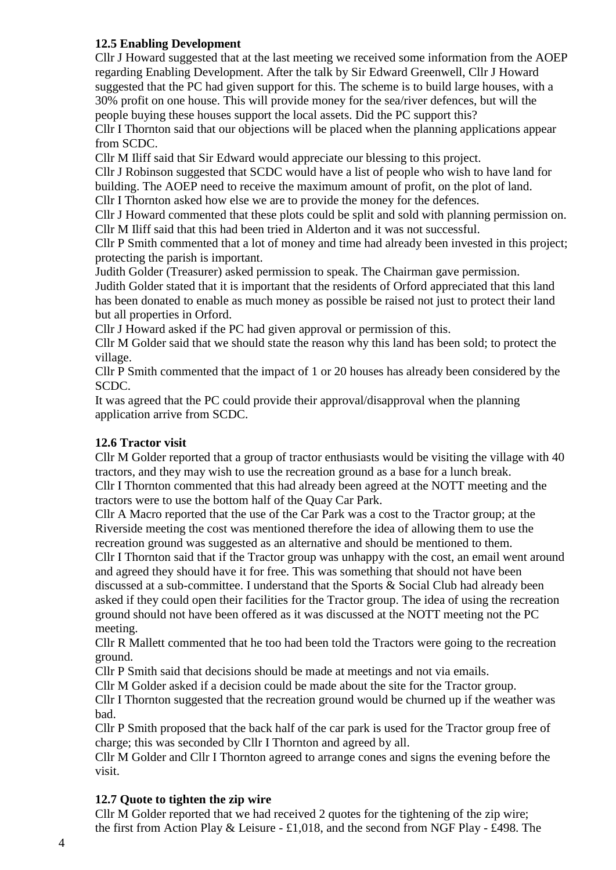## **12.5 Enabling Development**

Cllr J Howard suggested that at the last meeting we received some information from the AOEP regarding Enabling Development. After the talk by Sir Edward Greenwell, Cllr J Howard suggested that the PC had given support for this. The scheme is to build large houses, with a 30% profit on one house. This will provide money for the sea/river defences, but will the people buying these houses support the local assets. Did the PC support this?

Cllr I Thornton said that our objections will be placed when the planning applications appear from SCDC.

Cllr M Iliff said that Sir Edward would appreciate our blessing to this project.

Cllr J Robinson suggested that SCDC would have a list of people who wish to have land for building. The AOEP need to receive the maximum amount of profit, on the plot of land.

Cllr I Thornton asked how else we are to provide the money for the defences.

Cllr J Howard commented that these plots could be split and sold with planning permission on. Cllr M Iliff said that this had been tried in Alderton and it was not successful.

Cllr P Smith commented that a lot of money and time had already been invested in this project; protecting the parish is important.

Judith Golder (Treasurer) asked permission to speak. The Chairman gave permission. Judith Golder stated that it is important that the residents of Orford appreciated that this land has been donated to enable as much money as possible be raised not just to protect their land but all properties in Orford.

Cllr J Howard asked if the PC had given approval or permission of this.

Cllr M Golder said that we should state the reason why this land has been sold; to protect the village.

Cllr P Smith commented that the impact of 1 or 20 houses has already been considered by the SCDC.

It was agreed that the PC could provide their approval/disapproval when the planning application arrive from SCDC.

### **12.6 Tractor visit**

Cllr M Golder reported that a group of tractor enthusiasts would be visiting the village with 40 tractors, and they may wish to use the recreation ground as a base for a lunch break. Cllr I Thornton commented that this had already been agreed at the NOTT meeting and the tractors were to use the bottom half of the Quay Car Park.

Cllr A Macro reported that the use of the Car Park was a cost to the Tractor group; at the Riverside meeting the cost was mentioned therefore the idea of allowing them to use the recreation ground was suggested as an alternative and should be mentioned to them.

Cllr I Thornton said that if the Tractor group was unhappy with the cost, an email went around and agreed they should have it for free. This was something that should not have been discussed at a sub-committee. I understand that the Sports & Social Club had already been asked if they could open their facilities for the Tractor group. The idea of using the recreation ground should not have been offered as it was discussed at the NOTT meeting not the PC meeting.

Cllr R Mallett commented that he too had been told the Tractors were going to the recreation ground.

Cllr P Smith said that decisions should be made at meetings and not via emails.

Cllr M Golder asked if a decision could be made about the site for the Tractor group.

Cllr I Thornton suggested that the recreation ground would be churned up if the weather was bad.

Cllr P Smith proposed that the back half of the car park is used for the Tractor group free of charge; this was seconded by Cllr I Thornton and agreed by all.

Cllr M Golder and Cllr I Thornton agreed to arrange cones and signs the evening before the visit.

### **12.7 Quote to tighten the zip wire**

Cllr M Golder reported that we had received 2 quotes for the tightening of the zip wire; the first from Action Play & Leisure - £1,018, and the second from NGF Play - £498. The